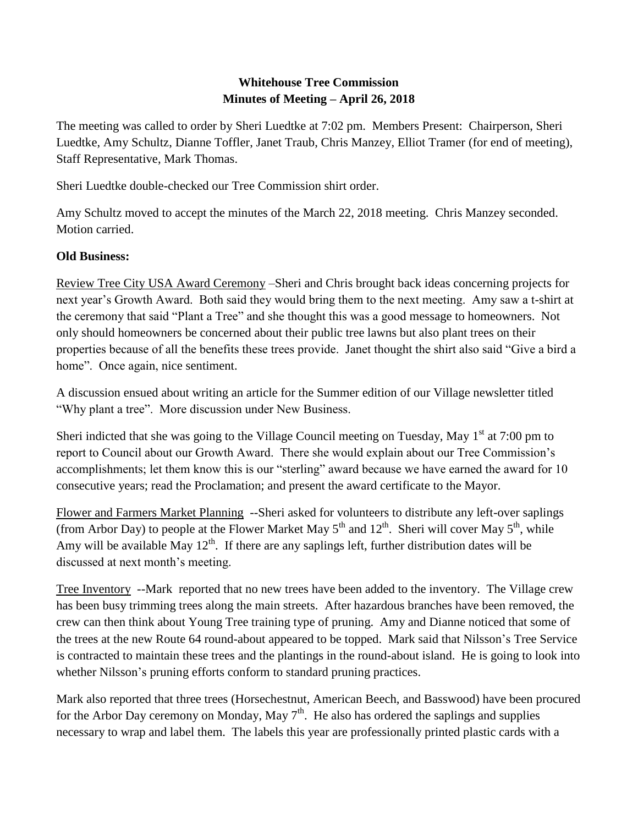## **Whitehouse Tree Commission Minutes of Meeting – April 26, 2018**

The meeting was called to order by Sheri Luedtke at 7:02 pm. Members Present: Chairperson, Sheri Luedtke, Amy Schultz, Dianne Toffler, Janet Traub, Chris Manzey, Elliot Tramer (for end of meeting), Staff Representative, Mark Thomas.

Sheri Luedtke double-checked our Tree Commission shirt order.

Amy Schultz moved to accept the minutes of the March 22, 2018 meeting. Chris Manzey seconded. Motion carried.

## **Old Business:**

Review Tree City USA Award Ceremony –Sheri and Chris brought back ideas concerning projects for next year's Growth Award. Both said they would bring them to the next meeting. Amy saw a t-shirt at the ceremony that said "Plant a Tree" and she thought this was a good message to homeowners. Not only should homeowners be concerned about their public tree lawns but also plant trees on their properties because of all the benefits these trees provide. Janet thought the shirt also said "Give a bird a home". Once again, nice sentiment.

A discussion ensued about writing an article for the Summer edition of our Village newsletter titled "Why plant a tree". More discussion under New Business.

Sheri indicted that she was going to the Village Council meeting on Tuesday, May  $1<sup>st</sup>$  at 7:00 pm to report to Council about our Growth Award. There she would explain about our Tree Commission's accomplishments; let them know this is our "sterling" award because we have earned the award for 10 consecutive years; read the Proclamation; and present the award certificate to the Mayor.

Flower and Farmers Market Planning --Sheri asked for volunteers to distribute any left-over saplings (from Arbor Day) to people at the Flower Market May  $5<sup>th</sup>$  and  $12<sup>th</sup>$ . Sheri will cover May  $5<sup>th</sup>$ , while Amy will be available May  $12<sup>th</sup>$ . If there are any saplings left, further distribution dates will be discussed at next month's meeting.

Tree Inventory --Mark reported that no new trees have been added to the inventory. The Village crew has been busy trimming trees along the main streets. After hazardous branches have been removed, the crew can then think about Young Tree training type of pruning. Amy and Dianne noticed that some of the trees at the new Route 64 round-about appeared to be topped. Mark said that Nilsson's Tree Service is contracted to maintain these trees and the plantings in the round-about island. He is going to look into whether Nilsson's pruning efforts conform to standard pruning practices.

Mark also reported that three trees (Horsechestnut, American Beech, and Basswood) have been procured for the Arbor Day ceremony on Monday, May  $7<sup>th</sup>$ . He also has ordered the saplings and supplies necessary to wrap and label them. The labels this year are professionally printed plastic cards with a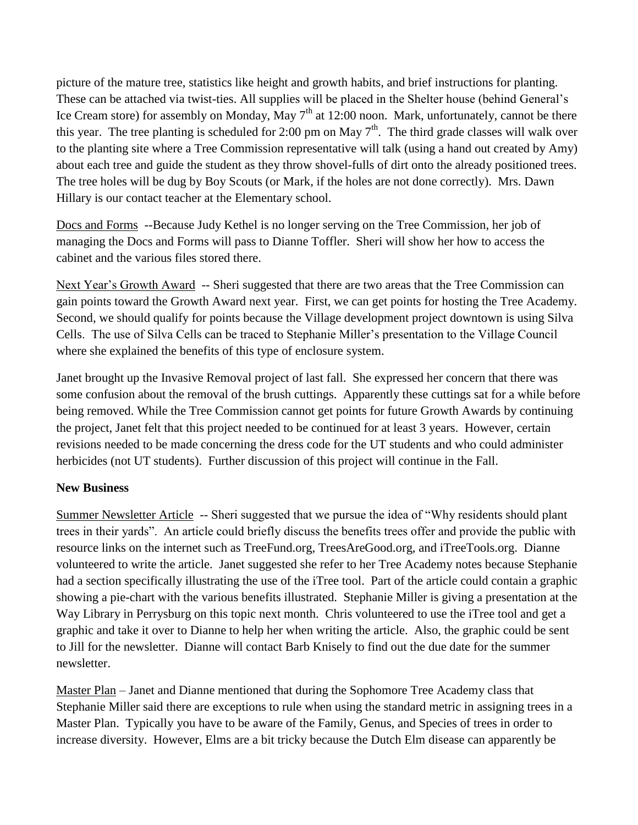picture of the mature tree, statistics like height and growth habits, and brief instructions for planting. These can be attached via twist-ties. All supplies will be placed in the Shelter house (behind General's Ice Cream store) for assembly on Monday, May  $7<sup>th</sup>$  at 12:00 noon. Mark, unfortunately, cannot be there this year. The tree planting is scheduled for 2:00 pm on May  $7<sup>th</sup>$ . The third grade classes will walk over to the planting site where a Tree Commission representative will talk (using a hand out created by Amy) about each tree and guide the student as they throw shovel-fulls of dirt onto the already positioned trees. The tree holes will be dug by Boy Scouts (or Mark, if the holes are not done correctly). Mrs. Dawn Hillary is our contact teacher at the Elementary school.

Docs and Forms --Because Judy Kethel is no longer serving on the Tree Commission, her job of managing the Docs and Forms will pass to Dianne Toffler. Sheri will show her how to access the cabinet and the various files stored there.

Next Year's Growth Award -- Sheri suggested that there are two areas that the Tree Commission can gain points toward the Growth Award next year. First, we can get points for hosting the Tree Academy. Second, we should qualify for points because the Village development project downtown is using Silva Cells. The use of Silva Cells can be traced to Stephanie Miller's presentation to the Village Council where she explained the benefits of this type of enclosure system.

Janet brought up the Invasive Removal project of last fall. She expressed her concern that there was some confusion about the removal of the brush cuttings. Apparently these cuttings sat for a while before being removed. While the Tree Commission cannot get points for future Growth Awards by continuing the project, Janet felt that this project needed to be continued for at least 3 years. However, certain revisions needed to be made concerning the dress code for the UT students and who could administer herbicides (not UT students). Further discussion of this project will continue in the Fall.

## **New Business**

Summer Newsletter Article -- Sheri suggested that we pursue the idea of "Why residents should plant trees in their yards". An article could briefly discuss the benefits trees offer and provide the public with resource links on the internet such as TreeFund.org, TreesAreGood.org, and iTreeTools.org. Dianne volunteered to write the article. Janet suggested she refer to her Tree Academy notes because Stephanie had a section specifically illustrating the use of the iTree tool. Part of the article could contain a graphic showing a pie-chart with the various benefits illustrated. Stephanie Miller is giving a presentation at the Way Library in Perrysburg on this topic next month. Chris volunteered to use the iTree tool and get a graphic and take it over to Dianne to help her when writing the article. Also, the graphic could be sent to Jill for the newsletter. Dianne will contact Barb Knisely to find out the due date for the summer newsletter.

Master Plan – Janet and Dianne mentioned that during the Sophomore Tree Academy class that Stephanie Miller said there are exceptions to rule when using the standard metric in assigning trees in a Master Plan. Typically you have to be aware of the Family, Genus, and Species of trees in order to increase diversity. However, Elms are a bit tricky because the Dutch Elm disease can apparently be